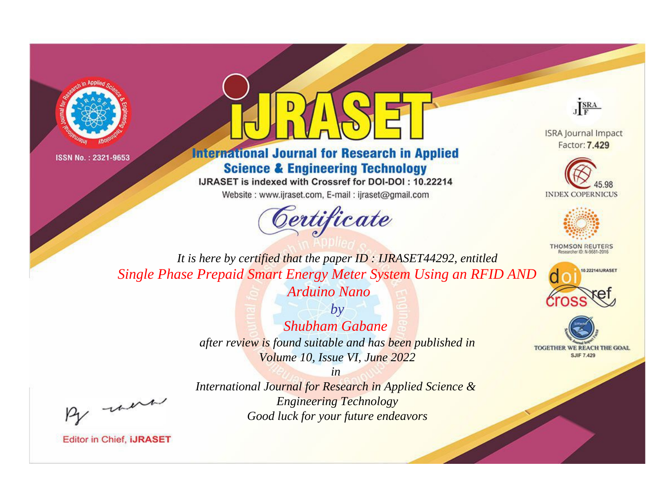



# **International Journal for Research in Applied Science & Engineering Technology**

IJRASET is indexed with Crossref for DOI-DOI: 10.22214

Website: www.ijraset.com, E-mail: ijraset@gmail.com





**ISRA Journal Impact** Factor: 7.429





**THOMSON REUTERS** 



TOGETHER WE REACH THE GOAL **SJIF 7.429** 

*It is here by certified that the paper ID : IJRASET44292, entitled Single Phase Prepaid Smart Energy Meter System Using an RFID AND* 

*Arduino Nano by Shubham Gabane after review is found suitable and has been published in Volume 10, Issue VI, June 2022*

*in International Journal for Research in Applied Science & Engineering Technology Good luck for your future endeavors*

, un

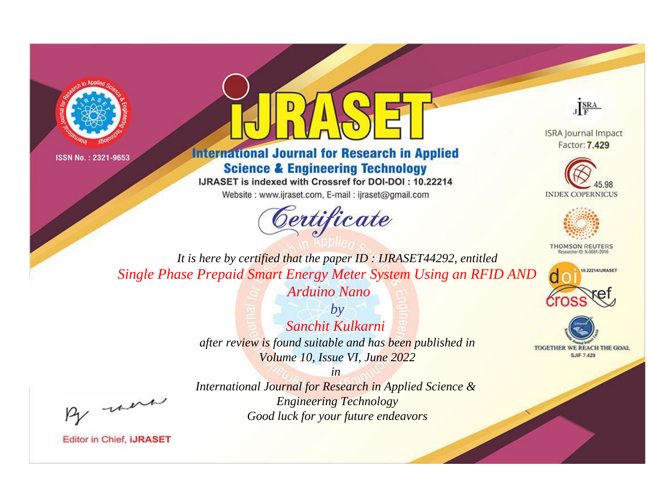



# **International Journal for Research in Applied Science & Engineering Technology**

IJRASET is indexed with Crossref for DOI-DOI: 10.22214

Website: www.ijraset.com, E-mail: ijraset@gmail.com





**ISRA Journal Impact** Factor: 7.429





**THOMSON REUTERS** 



TOGETHER WE REACH THE GOAL **SJIF 7.429** 

*It is here by certified that the paper ID : IJRASET44292, entitled Single Phase Prepaid Smart Energy Meter System Using an RFID AND* 

*Arduino Nano*

*by Sanchit Kulkarni after review is found suitable and has been published in Volume 10, Issue VI, June 2022*

*in* 

*International Journal for Research in Applied Science & Engineering Technology Good luck for your future endeavors*

, were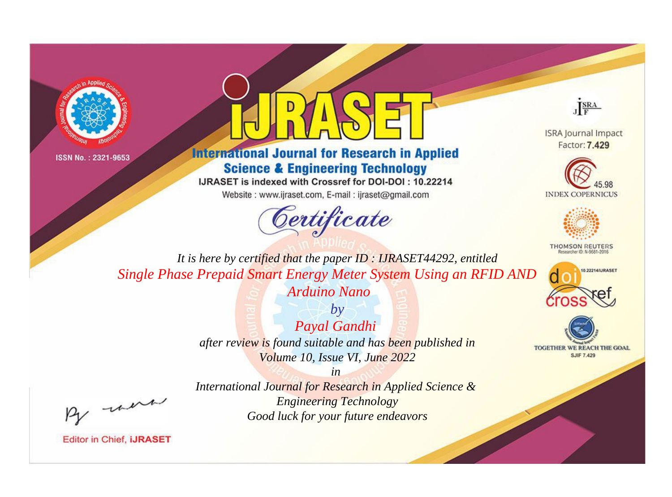



# **International Journal for Research in Applied Science & Engineering Technology**

IJRASET is indexed with Crossref for DOI-DOI: 10.22214

Website: www.ijraset.com, E-mail: ijraset@gmail.com



JERA

**ISRA Journal Impact** Factor: 7.429





**THOMSON REUTERS** 



TOGETHER WE REACH THE GOAL **SJIF 7.429** 

It is here by certified that the paper ID: IJRASET44292, entitled Single Phase Prepaid Smart Energy Meter System Using an RFID AND Arduino Nano

> $by$ Payal Gandhi after review is found suitable and has been published in Volume 10, Issue VI, June 2022

 $in$ International Journal for Research in Applied Science & **Engineering Technology** Good luck for your future endeavors

were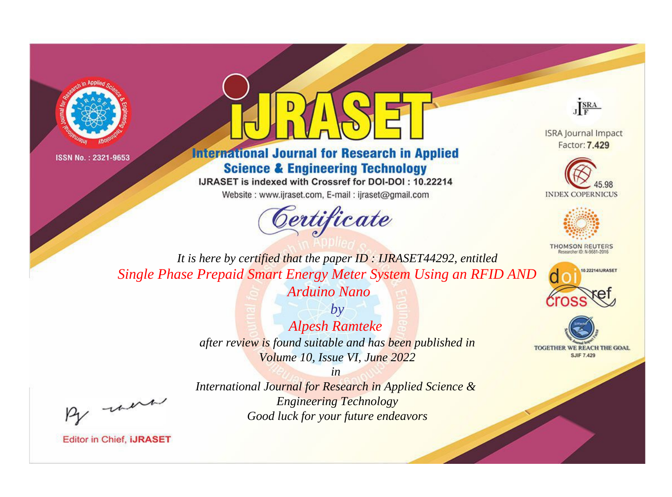



# **International Journal for Research in Applied Science & Engineering Technology**

IJRASET is indexed with Crossref for DOI-DOI: 10.22214

Website: www.ijraset.com, E-mail: ijraset@gmail.com



JERA

**ISRA Journal Impact** Factor: 7.429





**THOMSON REUTERS** 



TOGETHER WE REACH THE GOAL **SJIF 7.429** 

It is here by certified that the paper ID: IJRASET44292, entitled Single Phase Prepaid Smart Energy Meter System Using an RFID AND Arduino Nano

> $b\nu$ **Alpesh Ramteke** after review is found suitable and has been published in Volume 10, Issue VI, June 2022

were

International Journal for Research in Applied Science & **Engineering Technology** Good luck for your future endeavors

 $in$